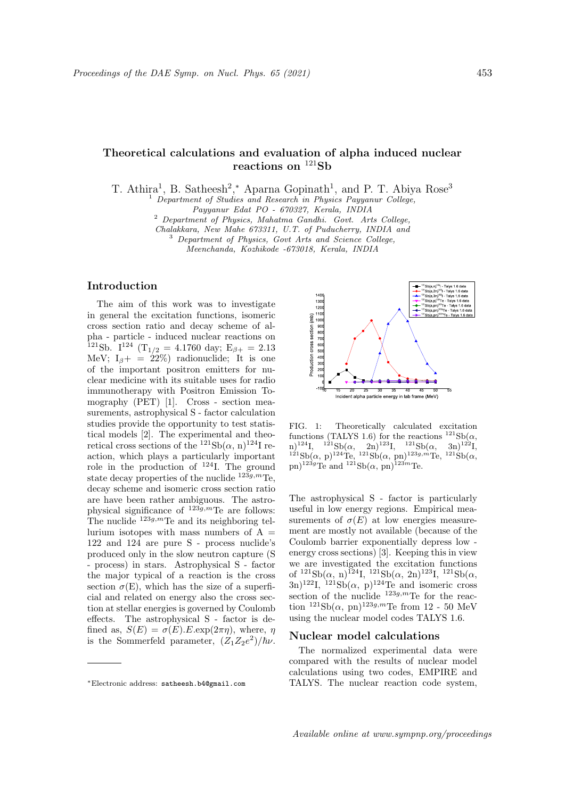# Theoretical calculations and evaluation of alpha induced nuclear reactions on  $121$ Sb

T. Athira<sup>1</sup>, B. Satheesh<sup>2</sup>,\* Aparna Gopinath<sup>1</sup>, and P. T. Abiya Rose<sup>3</sup>

<sup>1</sup> Department of Studies and Research in Physics Payyanur College,

Payyanur Edat PO - 670327, Kerala, INDIA

Chalakkara, New Mahe 673311, U.T. of Puducherry, INDIA and

<sup>3</sup> Department of Physics, Govt Arts and Science College, Meenchanda, Kozhikode -673018, Kerala, INDIA

## Introduction

The aim of this work was to investigate in general the excitation functions, isomeric cross section ratio and decay scheme of alpha - particle - induced nuclear reactions on <sup>121</sup>Sb. I<sup>124</sup> (T<sub>1/2</sub> = 4.1760 day; E<sub> $\beta$ +</sub> = 2.13 MeV;  $I_{\beta}$  = 22%) radionuclide; It is one of the important positron emitters for nuclear medicine with its suitable uses for radio immunotherapy with Positron Emission Tomography (PET) [1]. Cross - section measurements, astrophysical S - factor calculation studies provide the opportunity to test statistical models [2]. The experimental and theoretical cross sections of the  $^{121}Sb(\alpha, n)^{124}I$  reaction, which plays a particularly important role in the production of  $^{124}$ I. The ground state decay properties of the nuclide  $^{123g,m}$ Te. decay scheme and isomeric cross section ratio are have been rather ambiguous. The astrophysical significance of  $123\widetilde{g}, m$ Te are follows: The nuclide  $123g,m$ Te and its neighboring tellurium isotopes with mass numbers of  $A =$ 122 and 124 are pure S - process nuclide's produced only in the slow neutron capture (S - process) in stars. Astrophysical S - factor the major typical of a reaction is the cross section  $\sigma(E)$ , which has the size of a superficial and related on energy also the cross section at stellar energies is governed by Coulomb effects. The astrophysical S - factor is defined as,  $S(E) = \sigma(E) \cdot E \cdot \exp(2\pi \eta)$ , where,  $\eta$ is the Sommerfeld parameter,  $(Z_1 Z_2 e^2)/\hbar \nu$ .



FIG. 1: Theoretically calculated excitation functions (TALYS 1.6) for the reactions  $^{121}Sb(\alpha,$ n)<sup>124</sup>I, <sup>121</sup>Sb( $\alpha$ , 2n)<sup>123</sup>I, <sup>121</sup>Sb( $\alpha$ , 3n)<sup>122</sup>I,  $1^{21}Sb(\alpha, p)^{124}Te,$   $1^{21}Sb(\alpha, pn)^{123g,m}Te,$   $1^{21}Sb(\alpha,$ pn)<sup>123g</sup>Te and <sup>121</sup>Sb( $\alpha$ , pn)<sup>123*m*</sup>Te.

The astrophysical S - factor is particularly useful in low energy regions. Empirical measurements of  $\sigma(E)$  at low energies measurement are mostly not available (because of the Coulomb barrier exponentially depress low energy cross sections) [3]. Keeping this in view we are investigated the excitation functions of  $^{121}Sb(\alpha, n)^{124}I$ ,  $^{121}Sb(\alpha, 2n)^{123}I$ ,  $^{121}Sb(\alpha,$  $(3n)^{122}$ I,  $121Sb(\alpha, p)^{124}$ Te and isomeric cross section of the nuclide  $123g,m$ Te for the reaction  $^{121}Sb(\alpha, pn)^{123g,m}$ Te from 12 - 50 MeV using the nuclear model codes TALYS 1.6.

# Nuclear model calculations

The normalized experimental data were compared with the results of nuclear model calculations using two codes, EMPIRE and TALYS. The nuclear reaction code system,

<sup>2</sup> Department of Physics, Mahatma Gandhi. Govt. Arts College,

<sup>∗</sup>Electronic address: satheesh.b4@gmail.com